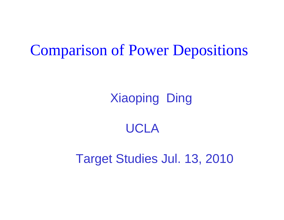### Comparison of Power Depositions

Xiaoping Ding

### UCLA

Target Studies Jul. 13, 2010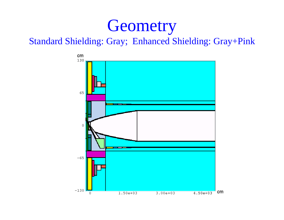### **Geometry**

Standard Shielding: Gray; Enhanced Shielding: Gray+Pink

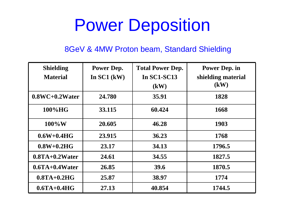## Power Deposition

#### 8GeV & 4MW Proton beam, Standard Shielding

| <b>Shielding</b>    | Power Dep.    | <b>Total Power Dep.</b> | <b>Power Dep. in</b> |
|---------------------|---------------|-------------------------|----------------------|
| <b>Material</b>     | In $SC1$ (kW) | <b>In SC1-SC13</b>      | shielding material   |
|                     |               | (kW)                    | (kW)                 |
| $0.8WC + 0.2 Water$ | 24.780        | 35.91                   | 1828                 |
| $100\%$ HG          | 33.115        | 60.424                  | 1668                 |
| $100\%$ W           | 20.605        | 46.28                   | 1903                 |
| $0.6W + 0.4HG$      | 23.915        | 36.23                   | 1768                 |
| $0.8W+0.2H$ G       | 23.17         | 34.13                   | 1796.5               |
| $0.8TA+0.2Water$    | 24.61         | 34.55                   | 1827.5               |
| $0.6TA+0.4Water$    | 26.85         | 39.6                    | 1870.5               |
| $0.8TA+0.2HG$       | 25.87         | 38.97                   | 1774                 |
| $0.6TA+0.4HG$       | 27.13         | 40.854                  | 1744.5               |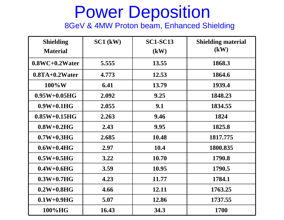# Power Deposition

8GeV & 4MW Proton beam, Enhanced Shielding

| <b>Shielding</b>   | $SC1$ (kW) | <b>SC1-SC13</b> | <b>Shielding material</b> |
|--------------------|------------|-----------------|---------------------------|
| <b>Material</b>    |            | $\mathbf{(kW)}$ | (kW)                      |
| $0.8WC + 0.2Water$ | 5.555      | 13.55           | 1868.3                    |
| $0.8TA+0.2Water$   | 4.773      | 12.53           | 1864.6                    |
| $100\%$ W          | 6.41       | 13.79           | 1939.4                    |
| $0.95W + 0.05HG$   | 2.092      | 9.25            | 1848.23                   |
| $0.9W+0.1HG$       | 2.055      | 9.1             | 1834.55                   |
| $0.85W+0.15HG$     | 2.263      | 9.46            | 1824                      |
| $0.8W+0.2HG$       | 2.43       | 9.95            | 1825.8                    |
| $0.7W+0.3HG$       | 2.685      | 10.48           | 1817.775                  |
| $0.6W+0.4HG$       | 2.97       | 10.4            | 1800.835                  |
| $0.5W+0.5HG$       | 3.22       | 10.70           | 1790.8                    |
| $0.4W+0.6HG$       | 3.59       | 10.95           | 1790.5                    |
| $0.3W+0.7HG$       | 4.23       | 11.77           | 1784.1                    |
| $0.2W+0.8HG$       | 4.66       | 12.11           | 1763.25                   |
| $0.1W+0.9HG$       | 5.07       | 12.86           | 1737.55                   |
| 100%HG             | 16.43      | 34.3            | 1700                      |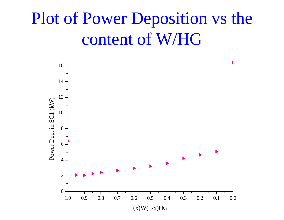### Plot of Power Deposition vs the content of W/HG